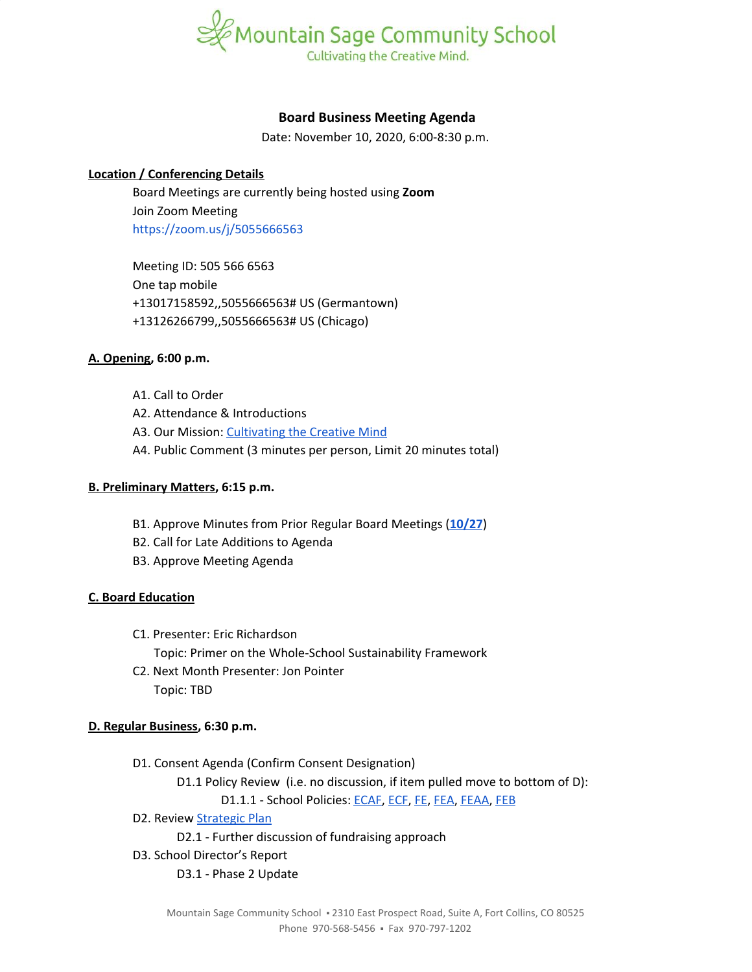

## **Board Business Meeting Agenda**

Date: November 10, 2020, 6:00-8:30 p.m.

## **Location / Conferencing Details**

Board Meetings are currently being hosted using **Zoom** Join Zoom Meeting <https://zoom.us/j/5055666563>

Meeting ID: 505 566 6563 One tap mobile +13017158592,,5055666563# US (Germantown) +13126266799,,5055666563# US (Chicago)

## **A. Opening, 6:00 p.m.**

A1. Call to Order A2. Attendance & Introductions A3. Our Mission: [Cultivating](https://www.mountainsage.org/about-us/mission-and-vision/) the Creative Mind A4. Public Comment (3 minutes per person, Limit 20 minutes total)

#### **B. Preliminary Matters, 6:15 p.m.**

- B1. Approve Minutes from Prior Regular Board Meetings (**[10/27](https://docs.google.com/document/d/10vGqGYxCO92vmj97Vr2Heo0MUffcFUgpwPI7-9TF3SY)**)
- B2. Call for Late Additions to Agenda
- B3. Approve Meeting Agenda

# **C. Board Education**

- C1. Presenter: Eric Richardson Topic: Primer on the Whole-School Sustainability Framework
- C2. Next Month Presenter: Jon Pointer Topic: TBD

#### **D. Regular Business, 6:30 p.m.**

- D1. Consent Agenda (Confirm Consent Designation)
	- D1.1 Policy Review (i.e. no discussion, if item pulled move to bottom of D):

D1.1.1 - School Policies: [ECAF,](https://drive.google.com/open?id=1rjyKgycftkPXRhtKFf8xLejHk6rv8R-17ZC49EzO8YA) [ECF](https://drive.google.com/open?id=1Knkhdx0RQRhYofki-GwUS_0kGYD8ZsWaihOwWxrccWA), [FE](https://docs.google.com/document/d/1wGxFasZ0dE6Ne5s7KRrIRO0cnZKQPnwQxOd-v52eaoo), [FEA](https://docs.google.com/document/d/1BWQWCyUn1LxwknXypc69WFyVxJ1piXju4kMvW-dwy1A), [FEAA](https://docs.google.com/document/d/1uRyiir_G8BUEF5x6Hub_WrxYBs9m88mlTIw3E-vyM6A), [FEB](https://docs.google.com/document/d/1pThbHJkD6v6ceYmAsNUip-Nmx194ynGWcwVEx4LVGH0)

- D2. Review [Strategic](https://docs.google.com/spreadsheets/d/1ZcsDhIjaJBoVOI2OMPaYkghgZi_yR7rn31ELgbvqf3E/view) Plan
	- D2.1 Further discussion of fundraising approach
- D3. School Director's Report

D3.1 - Phase 2 Update